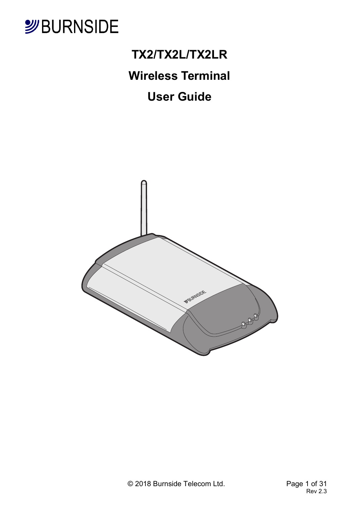

## **TX2/TX2L/TX2LR**

## **Wireless Terminal**

## **User Guide**

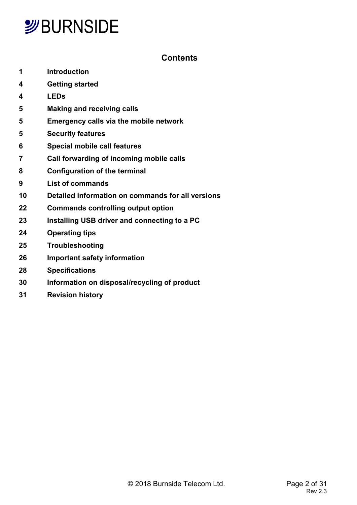### **Contents**

- **1 Introduction**
- **4 Getting started**
- **4 LEDs**
- **5 Making and receiving calls**
- **5 Emergency calls via the mobile network**
- **5 Security features**
- **6 Special mobile call features**
- **7 Call forwarding of incoming mobile calls**
- **8 Configuration of the terminal**
- **9 List of commands**
- **10 Detailed information on commands for all versions**
- **22 Commands controlling output option**
- **23 Installing USB driver and connecting to a PC**
- **24 Operating tips**
- **25 Troubleshooting**
- **26 Important safety information**
- **28 Specifications**
- **30 Information on disposal/recycling of product**
- **31 Revision history**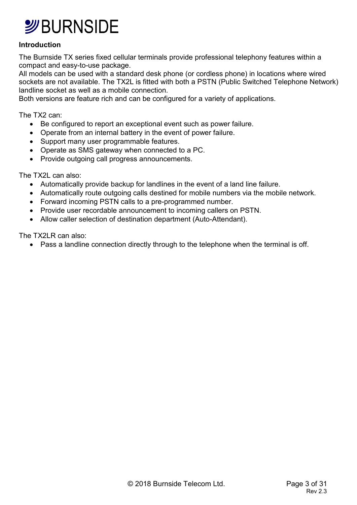#### **Introduction**

The Burnside TX series fixed cellular terminals provide professional telephony features within a compact and easy-to-use package.

All models can be used with a standard desk phone (or cordless phone) in locations where wired sockets are not available. The TX2L is fitted with both a PSTN (Public Switched Telephone Network) landline socket as well as a mobile connection.

Both versions are feature rich and can be configured for a variety of applications.

The TX2 can:

- Be configured to report an exceptional event such as power failure.
- Operate from an internal battery in the event of power failure.
- Support many user programmable features.
- Operate as SMS gateway when connected to a PC.
- Provide outgoing call progress announcements.

The TX2L can also:

- Automatically provide backup for landlines in the event of a land line failure.
- Automatically route outgoing calls destined for mobile numbers via the mobile network.
- Forward incoming PSTN calls to a pre-programmed number.
- Provide user recordable announcement to incoming callers on PSTN.
- Allow caller selection of destination department (Auto-Attendant).

The TX2LR can also:

• Pass a landline connection directly through to the telephone when the terminal is off.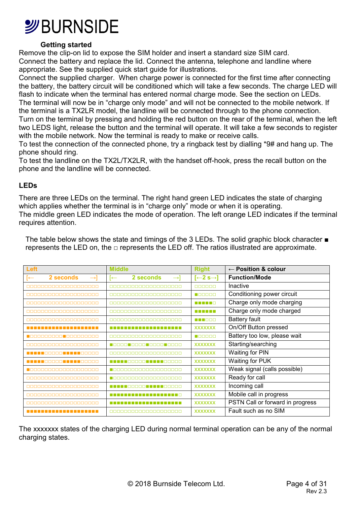

#### **Getting started**

Remove the clip-on lid to expose the SIM holder and insert a standard size SIM card. Connect the battery and replace the lid. Connect the antenna, telephone and landline where appropriate. See the supplied quick start guide for illustrations.

Connect the supplied charger. When charge power is connected for the first time after connecting the battery, the battery circuit will be conditioned which will take a few seconds. The charge LED will flash to indicate when the terminal has entered normal charge mode. See the section on LEDs. The terminal will now be in "charge only mode" and will not be connected to the mobile network. If the terminal is a TX2LR model, the landline will be connected through to the phone connection. Turn on the terminal by pressing and holding the red button on the rear of the terminal, when the left two LEDS light, release the button and the terminal will operate. It will take a few seconds to register with the mobile network. Now the terminal is ready to make or receive calls.

To test the connection of the connected phone, try a ringback test by dialling \*9# and hang up. The phone should ring.

To test the landline on the TX2L/TX2LR, with the handset off-hook, press the recall button on the phone and the landline will be connected.

#### **LEDs**

There are three LEDs on the terminal. The right hand green LED indicates the state of charging which applies whether the terminal is in "charge only" mode or when it is operating. The middle green LED indicates the mode of operation. The left orange LED indicates if the terminal requires attention.

The table below shows the state and timings of the 3 LEDs. The solid graphic block character ■ represents the LED on, the  $\square$  represents the LED off. The ratios illustrated are approximate.

| <b>Left</b>                                  | <b>Middle</b>                                   | <b>Right</b>                    | $\leftarrow$ Position & colour   |
|----------------------------------------------|-------------------------------------------------|---------------------------------|----------------------------------|
| 2 seconds<br>$\leftarrow$<br>$\rightarrow$   | 2 seconds<br>$\rightarrow$<br>I←                | $\left[-2\ s\rightarrow\right]$ | <b>Function/Mode</b>             |
| 0000000000000000000                          | 0000000000000000000                             | nnnnnn                          | Inactive                         |
| 0000000000000000000                          | 0000000000000000000                             | n daerah                        | Conditioning power circuit       |
| 0000000000000000000                          |                                                 | <b>.</b>                        | Charge only mode charging        |
|                                              | <u>AAAAAAAAAAAAAAAAAAA</u>                      | <b>.</b>                        | Charge only mode charged         |
| 0000000000000000000                          | 8888888888888888888                             | n nooc                          | <b>Battery fault</b>             |
| -------------------                          | -------------------                             | <b>XXXXXXX</b>                  | On/Off Button pressed            |
| <u> FRANKISCHE FRANKARE</u>                  | 8888888888888888888                             | n daerah                        | Battery too low, please wait     |
|                                              | <u> E A A A LEI DE A LA A A A LA LEI DE A L</u> | <b>XXXXXXX</b>                  | Starting/searching               |
| <u> E E E E FINISIPIO E E E E FINISIPIO </u> | 0000000000000000000                             | <b>XXXXXXX</b>                  | Waiting for PIN                  |
| <u> E E E E FINISIPIO E E E E FINISIPIO </u> |                                                 | <b>XXXXXXX</b>                  | Waiting for PUK                  |
|                                              |                                                 | <b>XXXXXXX</b>                  | Weak signal (calls possible)     |
| 0000000000000000000                          |                                                 | <b>XXXXXXX</b>                  | Ready for call                   |
|                                              |                                                 | <b>XXXXXXX</b>                  | Incoming call                    |
|                                              |                                                 | <b>XXXXXXX</b>                  | Mobile call in progress          |
|                                              |                                                 | <b>XXXXXXX</b>                  | PSTN Call or forward in progress |
|                                              |                                                 | <b>XXXXXXX</b>                  | Fault such as no SIM             |

The xxxxxxx states of the charging LED during normal terminal operation can be any of the normal charging states.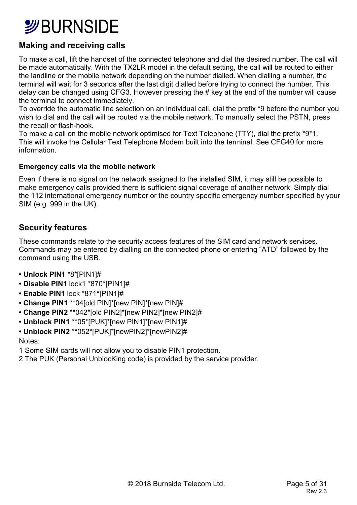## **SBURNSIDE**

### **Making and receiving calls**

To make a call, lift the handset of the connected telephone and dial the desired number. The call will be made automatically. With the TX2LR model in the default setting, the call will be routed to either the landline or the mobile network depending on the number dialled. When dialling a number, the terminal will wait for 3 seconds after the last digit dialled before trying to connect the number. This delay can be changed using CFG3. However pressing the # key at the end of the number will cause the terminal to connect immediately.

To override the automatic line selection on an individual call, dial the prefix \*9 before the number you wish to dial and the call will be routed via the mobile network. To manually select the PSTN, press the recall or flash-hook.

To make a call on the mobile network optimised for Text Telephone (TTY), dial the prefix \*9\*1. This will invoke the Cellular Text Telephone Modem built into the terminal. See CFG40 for more information.

#### **Emergency calls via the mobile network**

Even if there is no signal on the network assigned to the installed SIM, it may still be possible to make emergency calls provided there is sufficient signal coverage of another network. Simply dial the 112 international emergency number or the country specific emergency number specified by your SIM (e.g. 999 in the UK).

### **Security features**

These commands relate to the security access features of the SIM card and network services. Commands may be entered by dialling on the connected phone or entering "ATD" followed by the command using the USB.

- **Unlock PIN1** \*8\*[PIN1]#
- **Disable PIN1** lock1 \*870\*[PIN1]#
- **Enable PIN1** lock \*871\*[PIN1]#
- **Change PIN1** \*\*04[old PIN]\*[new PIN]\*[new PIN]#
- **Change PIN2** \*\*042\*[old PIN2]\*[new PIN2]\*[new PIN2]#
- **Unblock PIN1** \*\*05\*[PUK]\*[new PIN1]\*[new PIN1]#
- **Unblock PIN2** \*\*052\*[PUK]\*[newPIN2]\*[newPIN2]#

Notes:

1 Some SIM cards will not allow you to disable PIN1 protection.

2 The PUK (Personal UnblocKing code) is provided by the service provider.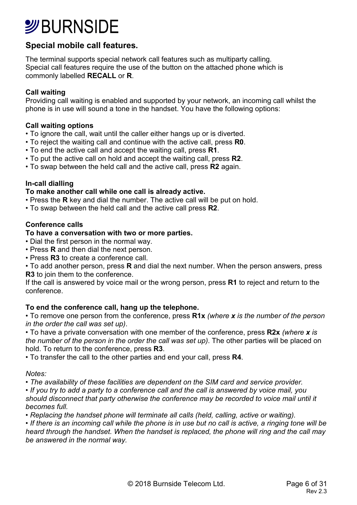# **SURNSIDE**

### **Special mobile call features.**

The terminal supports special network call features such as multiparty calling. Special call features require the use of the button on the attached phone which is commonly labelled **RECALL** or **R**.

#### **Call waiting**

Providing call waiting is enabled and supported by your network, an incoming call whilst the phone is in use will sound a tone in the handset. You have the following options:

#### **Call waiting options**

- To ignore the call, wait until the caller either hangs up or is diverted.
- To reject the waiting call and continue with the active call, press **R0**.
- To end the active call and accept the waiting call, press **R1**.
- To put the active call on hold and accept the waiting call, press **R2**.
- To swap between the held call and the active call, press **R2** again.

#### **In-call dialling**

#### **To make another call while one call is already active.**

- Press the **R** key and dial the number. The active call will be put on hold.
- To swap between the held call and the active call press **R2**.

#### **Conference calls**

#### **To have a conversation with two or more parties.**

- Dial the first person in the normal way.
- Press **R** and then dial the next person.
- Press **R3** to create a conference call.
- To add another person, press **R** and dial the next number. When the person answers, press **R3** to join them to the conference.

If the call is answered by voice mail or the wrong person, press **R1** to reject and return to the conference.

#### **To end the conference call, hang up the telephone.**

• To remove one person from the conference, press **R1x** *(where x is the number of the person in the order the call was set up)*.

• To have a private conversation with one member of the conference, press **R2x** *(where x is the number of the person in the order the call was set up)*. The other parties will be placed on hold. To return to the conference, press **R3**.

• To transfer the call to the other parties and end your call, press **R4**.

*Notes:* 

• *The availability of these facilities are dependent on the SIM card and service provider.* 

• *If you try to add a party to a conference call and the call is answered by voice mail, you should disconnect that party otherwise the conference may be recorded to voice mail until it* 

*becomes full.* 

• *Replacing the handset phone will terminate all calls (held, calling, active or waiting).* 

• *If there is an incoming call while the phone is in use but no call is active, a ringing tone will be heard through the handset. When the handset is replaced, the phone will ring and the call may be answered in the normal way.*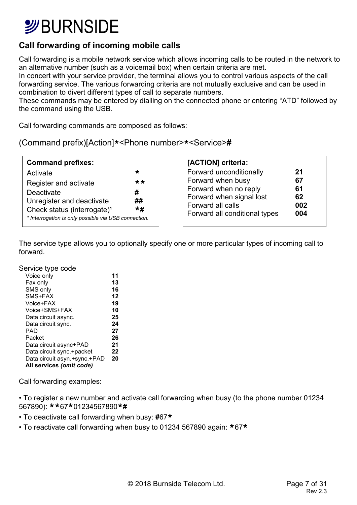## **SURNSIDE**

### **Call forwarding of incoming mobile calls**

Call forwarding is a mobile network service which allows incoming calls to be routed in the network to an alternative number (such as a voicemail box) when certain criteria are met.

In concert with your service provider, the terminal allows you to control various aspects of the call forwarding service. The various forwarding criteria are not mutually exclusive and can be used in combination to divert different types of call to separate numbers.

These commands may be entered by dialling on the connected phone or entering "ATD" followed by the command using the USB.

Call forwarding commands are composed as follows:

|  | (Command prefix)[Action]* <phone number="">*<service>#</service></phone> |  |  |
|--|--------------------------------------------------------------------------|--|--|
|  |                                                                          |  |  |

| <b>Command prefixes:</b>                                        |           |
|-----------------------------------------------------------------|-----------|
| Activate                                                        | ∗         |
| Register and activate                                           | **        |
| Deactivate                                                      | #         |
| Unregister and deactivate                                       | ##        |
| Check status (interrogate) <sup>1</sup>                         | $\star$ # |
| <sup>1</sup> Interrogation is only possible via USB connection. |           |

| [ACTION] criteria:            |     |
|-------------------------------|-----|
| Forward unconditionally       | 21  |
| Forward when busy             | 67  |
| Forward when no reply         | 61  |
| Forward when signal lost      | 62  |
| Forward all calls             | 002 |
| Forward all conditional types | 004 |

The service type allows you to optionally specify one or more particular types of incoming call to forward.

Service type code

| Voice only                   | 11 |
|------------------------------|----|
| Fax only                     | 13 |
| SMS only                     | 16 |
| SMS+FAX                      | 12 |
| Voice+FAX                    | 19 |
| Voice+SMS+FAX                | 10 |
| Data circuit async.          | 25 |
| Data circuit sync.           | 24 |
| PAD                          | 27 |
| Packet                       | 26 |
| Data circuit async+PAD       | 21 |
| Data circuit sync.+packet    | 22 |
| Data circuit asyn.+sync.+PAD | 20 |
| All services (omit code)     |    |
|                              |    |

Call forwarding examples:

• To register a new number and activate call forwarding when busy (to the phone number 01234 567890): **\*\***67**\***01234567890**\*#**

- To deactivate call forwarding when busy: **#**67**\***
- To reactivate call forwarding when busy to 01234 567890 again: **\***67**\***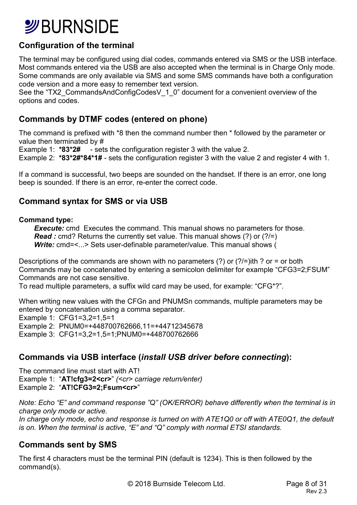## *S*BURNSIDE

### **Configuration of the terminal**

The terminal may be configured using dial codes, commands entered via SMS or the USB interface. Most commands entered via the USB are also accepted when the terminal is in Charge Only mode. Some commands are only available via SMS and some SMS commands have both a configuration code version and a more easy to remember text version.

See the "TX2 CommandsAndConfigCodesV 1 0" document for a convenient overview of the options and codes.

### **Commands by DTMF codes (entered on phone)**

The command is prefixed with \*8 then the command number then \* followed by the parameter or value then terminated by #

Example 1: **\*83\*2#** - sets the configuration register 3 with the value 2.

Example 2: **\*83\*2#\*84\*1#** - sets the configuration register 3 with the value 2 and register 4 with 1.

If a command is successful, two beeps are sounded on the handset. If there is an error, one long beep is sounded. If there is an error, re-enter the correct code.

### **Command syntax for SMS or via USB**

#### **Command type:**

**Execute:** cmd Executes the command. This manual shows no parameters for those. *Read :* cmd? Returns the currently set value. This manual shows (?) or (?/=) **Write:** cmd=<...> Sets user-definable parameter/value. This manual shows (

Descriptions of the commands are shown with no parameters (?) or (?/=)ith ? or = or both Commands may be concatenated by entering a semicolon delimiter for example "CFG3=2;FSUM" Commands are not case sensitive.

To read multiple parameters, a suffix wild card may be used, for example: "CFG\*?".

When writing new values with the CFGn and PNUMSn commands, multiple parameters may be entered by concatenation using a comma separator. Example 1: CFG1=3,2=1,5=1 Example 2: PNUM0=+448700762666,11=+44712345678 Example 3: CFG1=3,2=1,5=1;PNUM0=+448700762666

### **Commands via USB interface (***install USB driver before connecting***):**

The command line must start with AT! Example 1: "**AT!cfg3=2<cr>**" *(<cr> carriage return/enter)*  Example 2: "**AT!CFG3=2;Fsum<cr>**"

*Note: Echo "E" and command response "Q" (OK/ERROR) behave differently when the terminal is in charge only mode or active. In charge only mode, echo and response is turned on with ATE1Q0 or off with ATE0Q1, the default* 

*is on. When the terminal is active, "E" and "Q" comply with normal ETSI standards.* 

### **Commands sent by SMS**

The first 4 characters must be the terminal PIN (default is 1234). This is then followed by the command(s).

© 2018 Burnside Telecom Ltd. Page 8 of 31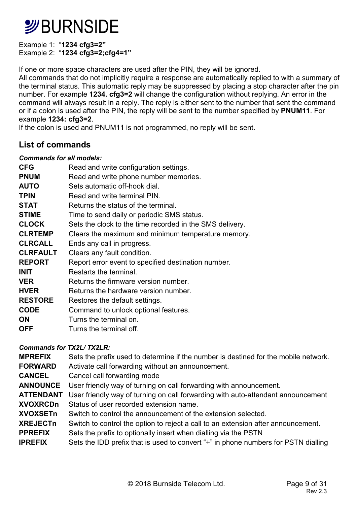Example 1: "**1234 cfg3=2"**  Example 2: "**1234 cfg3=2;cfg4=1"** 

If one or more space characters are used after the PIN, they will be ignored.

All commands that do not implicitly require a response are automatically replied to with a summary of the terminal status. This automatic reply may be suppressed by placing a stop character after the pin number. For example **1234. cfg3=2** will change the configuration without replying. An error in the command will always result in a reply. The reply is either sent to the number that sent the command or if a colon is used after the PIN, the reply will be sent to the number specified by **PNUM11**. For example **1234: cfg3=2**.

If the colon is used and PNUM11 is not programmed, no reply will be sent.

### **List of commands**

#### *Commands for all models:*

| <b>CFG</b>      | Read and write configuration settings.                   |
|-----------------|----------------------------------------------------------|
| <b>PNUM</b>     | Read and write phone number memories.                    |
| <b>AUTO</b>     | Sets automatic off-hook dial.                            |
| <b>TPIN</b>     | Read and write terminal PIN.                             |
| <b>STAT</b>     | Returns the status of the terminal.                      |
| <b>STIME</b>    | Time to send daily or periodic SMS status.               |
| <b>CLOCK</b>    | Sets the clock to the time recorded in the SMS delivery. |
| <b>CLRTEMP</b>  | Clears the maximum and minimum temperature memory.       |
| <b>CLRCALL</b>  | Ends any call in progress.                               |
| <b>CLRFAULT</b> | Clears any fault condition.                              |
| <b>REPORT</b>   | Report error event to specified destination number.      |
| <b>INIT</b>     | Restarts the terminal.                                   |
| <b>VER</b>      | Returns the firmware version number.                     |
| <b>HVER</b>     | Returns the hardware version number.                     |
| <b>RESTORE</b>  | Restores the default settings.                           |
| <b>CODE</b>     | Command to unlock optional features.                     |
| ΟN              | Turns the terminal on.                                   |
| <b>OFF</b>      | Turns the terminal off.                                  |

#### *Commands for TX2L/ TX2LR:*

| <b>MPREFIX</b>   | Sets the prefix used to determine if the number is destined for the mobile network. |
|------------------|-------------------------------------------------------------------------------------|
| <b>FORWARD</b>   | Activate call forwarding without an announcement.                                   |
| <b>CANCEL</b>    | Cancel call forwarding mode                                                         |
| <b>ANNOUNCE</b>  | User friendly way of turning on call forwarding with announcement.                  |
| <b>ATTENDANT</b> | User friendly way of turning on call forwarding with auto-attendant announcement    |
| <b>XVOXRCDn</b>  | Status of user recorded extension name.                                             |
| <b>XVOXSETn</b>  | Switch to control the announcement of the extension selected.                       |
| <b>XREJECTn</b>  | Switch to control the option to reject a call to an extension after announcement.   |
| <b>PPREFIX</b>   | Sets the prefix to optionally insert when dialling via the PSTN                     |
| <b>IPREFIX</b>   | Sets the IDD prefix that is used to convert "+" in phone numbers for PSTN dialling  |
|                  |                                                                                     |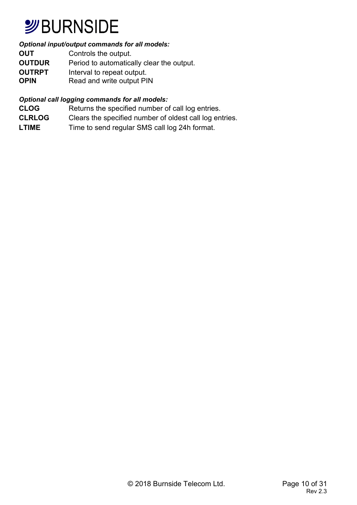## **SURNSIDE**

#### *Optional input/output commands for all models:*

**OUT** Controls the output. **OUTDUR** Period to automatically clear the output. **OUTRPT** Interval to repeat output.<br> **OPIN** Read and write output PI **Read and write output PIN** 

#### *Optional call logging commands for all models:*

- **CLOG** Returns the specified number of call log entries.
- **CLRLOG** Clears the specified number of oldest call log entries.
- LTIME Time to send regular SMS call log 24h format.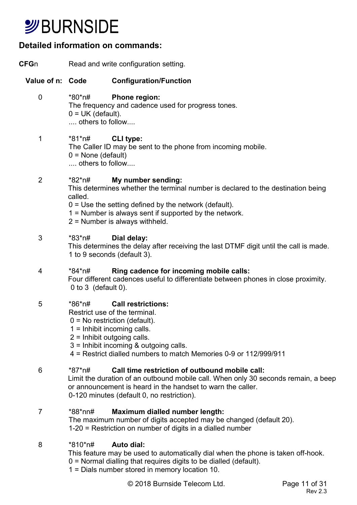## **SURNSIDE**

### **Detailed information on commands:**

- **CFG**n Read and write configuration setting. **Value of n: Code Configuration/Function**  0 \*80\*n# **Phone region:**  The frequency and cadence used for progress tones.  $0 = UK$  (default). .... others to follow.... 1 \*81\*n# **CLI type:**  The Caller ID may be sent to the phone from incoming mobile.  $0 =$  None (default) .... others to follow.... 2 \*82\*n# **My number sending:**  This determines whether the terminal number is declared to the destination being called.  $0 =$  Use the setting defined by the network (default). 1 = Number is always sent if supported by the network. 2 = Number is always withheld. 3 \*83\*n# **Dial delay:**  This determines the delay after receiving the last DTMF digit until the call is made. 1 to 9 seconds (default 3). 4 \*84\*n# **Ring cadence for incoming mobile calls:**  Four different cadences useful to differentiate between phones in close proximity. 0 to 3 (default 0). 5 \*86\*n# **Call restrictions:**  Restrict use of the terminal.  $0 = No$  restriction (default). 1 = Inhibit incoming calls. 2 = Inhibit outgoing calls. 3 = Inhibit incoming & outgoing calls. 4 = Restrict dialled numbers to match Memories 0-9 or 112/999/911 6 \*87\*n# **Call time restriction of outbound mobile call:**  Limit the duration of an outbound mobile call. When only 30 seconds remain, a beep or announcement is heard in the handset to warn the caller. 0-120 minutes (default 0, no restriction). 7 \*88\*nn# **Maximum dialled number length:**  The maximum number of digits accepted may be changed (default 20). 1-20 = Restriction on number of digits in a dialled number 8 \*810\*n# **Auto dial:**  This feature may be used to automatically dial when the phone is taken off-hook.
	- 0 = Normal dialling that requires digits to be dialled (default).
	- 1 = Dials number stored in memory location 10.

© 2018 Burnside Telecom Ltd. Page 11 of 31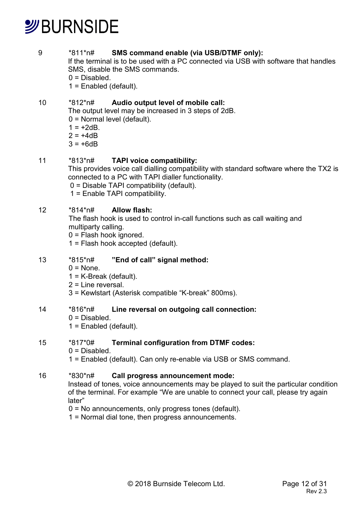#### 9 \*811\*n# **SMS command enable (via USB/DTMF only):**

If the terminal is to be used with a PC connected via USB with software that handles SMS, disable the SMS commands.

 $0 = Disabled$ .

1 = Enabled (default).

#### 10 \*812\*n# **Audio output level of mobile call:**

The output level may be increased in 3 steps of 2dB.

0 = Normal level (default).

- $1 = +2dB$ .
- $2 = +4dB$
- $3 = +6dB$

#### 11 \*813\*n# **TAPI voice compatibility:**

This provides voice call dialling compatibility with standard software where the TX2 is connected to a PC with TAPI dialler functionality.

0 = Disable TAPI compatibility (default).

1 = Enable TAPI compatibility.

#### 12 \*814\*n# **Allow flash:**

 The flash hook is used to control in-call functions such as call waiting and multiparty calling.

0 = Flash hook ignored.

1 = Flash hook accepted (default).

#### 13 \*815\*n# **"End of call" signal method:**

- $0 = \text{None}$ .
- 1 = K-Break (default).
- 2 = Line reversal.
- 3 = Kewlstart (Asterisk compatible "K-break" 800ms).

#### 14 \*816\*n# **Line reversal on outgoing call connection:**

- $0 = Disabled$ .
- 1 = Enabled (default).

#### 15 \*817\*0# **Terminal configuration from DTMF codes:**

- $0 = Disabled$ .
- 1 = Enabled (default). Can only re-enable via USB or SMS command.

#### 16 \*830\*n# **Call progress announcement mode:**

Instead of tones, voice announcements may be played to suit the particular condition of the terminal. For example "We are unable to connect your call, please try again later"

- 0 = No announcements, only progress tones (default).
- 1 = Normal dial tone, then progress announcements.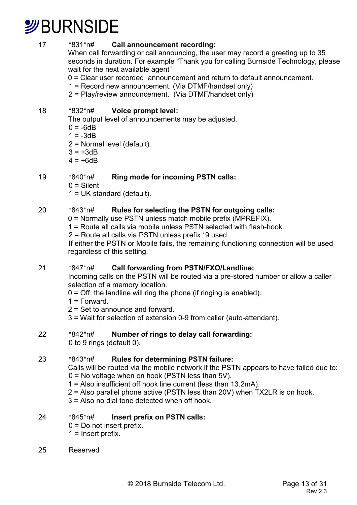17 \*831\*n# **Call announcement recording:** 

When call forwarding or call announcing, the user may record a greeting up to 35 seconds in duration. For example "Thank you for calling Burnside Technology, please wait for the next available agent"

- 0 = Clear user recorded announcement and return to default announcement.
- 1 = Record new announcement. (Via DTMF/handset only)
- 2 = Play/review announcement. (Via DTMF/handset only)

#### 18 \*832\*n# **Voice prompt level:**

The output level of announcements may be adjusted.

- $0 = -6dB$
- $1 = -3$ dR
- 2 = Normal level (default).
- $3 = +3dB$
- $4 = +6dB$

### 19 \*840\*n# **Ring mode for incoming PSTN calls:**

- $0 =$ Silent
- 1 = UK standard (default).

### 20 \*843\*n# **Rules for selecting the PSTN for outgoing calls:**

0 = Normally use PSTN unless match mobile prefix (MPREFIX).

- 1 = Route all calls via mobile unless PSTN selected with flash-hook.
- 2 = Route all calls via PSTN unless prefix \*9 used

 If either the PSTN or Mobile fails, the remaining functioning connection will be used regardless of this setting.

#### 21 \*847\*n# **Call forwarding from PSTN/FXO/Landline:**

Incoming calls on the PSTN will be routed via a pre-stored number or allow a caller selection of a memory location.

- $0 =$  Off, the landline will ring the phone (if ringing is enabled).
- $1 =$ Forward.
- 2 = Set to announce and forward.
- 3 = Wait for selection of extension 0-9 from caller (auto-attendant).

### 22 \*842\*n# **Number of rings to delay call forwarding:**

0 to 9 rings (default 0).

#### 23 \*843\*n# **Rules for determining PSTN failure:**

Calls will be routed via the mobile network if the PSTN appears to have failed due to: 0 = No voltage when on hook (PSTN less than 5V).

- 1 = Also insufficient off hook line current (less than 13.2mA).
- 2 = Also parallel phone active (PSTN less than 20V) when TX2LR is on hook.
- $3 =$  Also no dial tone detected when off hook.

#### 24 \*845\*n# **Insert prefix on PSTN calls:**

- $0 = Do$  not insert prefix.
- $1 =$  Insert prefix.
- 25 Reserved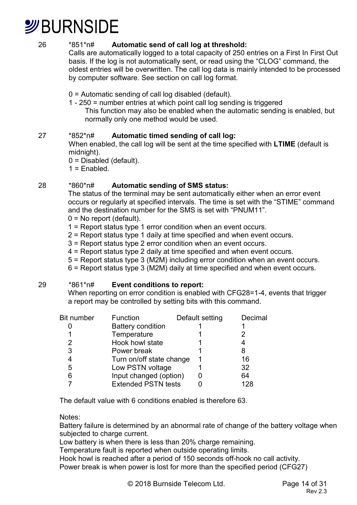

#### 26 \*851\*n# **Automatic send of call log at threshold:**

Calls are automatically logged to a total capacity of 250 entries on a First In First Out basis. If the log is not automatically sent, or read using the "CLOG" command, the oldest entries will be overwritten. The call log data is mainly intended to be processed by computer software. See section on call log format.

- 0 = Automatic sending of call log disabled (default).
- 1 250 = number entries at which point call log sending is triggered This function may also be enabled when the automatic sending is enabled, but normally only one method would be used.

#### 27 \*852\*n# **Automatic timed sending of call log:**

When enabled, the call log will be sent at the time specified with **LTIME** (default is midnight).

- 0 = Disabled (default).
- $1$  =  $F$ nabled

#### 28 \*860\*n# **Automatic sending of SMS status:**

The status of the terminal may be sent automatically either when an error event occurs or regularly at specified intervals. The time is set with the "STIME" command and the destination number for the SMS is set with "PNUM11".

- 0 = No report (default).
- 1 = Report status type 1 error condition when an event occurs.
- 2 = Report status type 1 daily at time specified and when event occurs.
- 3 = Report status type 2 error condition when an event occurs.
- 4 = Report status type 2 daily at time specified and when event occurs.
- 5 = Report status type 3 (M2M) including error condition when an event occurs.
- 6 = Report status type 3 (M2M) daily at time specified and when event occurs.

#### 29 \*861\*n# **Event conditions to report:**

When reporting on error condition is enabled with CFG28=1-4, events that trigger a report may be controlled by setting bits with this command.

| <b>Bit number</b> | Function                   | Default setting | Decimal |
|-------------------|----------------------------|-----------------|---------|
|                   | <b>Battery condition</b>   |                 |         |
|                   | Temperature                |                 |         |
|                   | Hook howl state            |                 |         |
| 3                 | Power break                |                 | 8       |
| 4                 | Turn on/off state change   |                 | 16      |
| 5                 | Low PSTN voltage           |                 | 32      |
|                   | Input changed (option)     |                 | 64      |
|                   | <b>Extended PSTN tests</b> |                 | 128     |

The default value with 6 conditions enabled is therefore 63.

Notes:

Battery failure is determined by an abnormal rate of change of the battery voltage when subjected to charge current.

Low battery is when there is less than 20% charge remaining.

Temperature fault is reported when outside operating limits.

Hook howl is reached after a period of 150 seconds off-hook no call activity.

Power break is when power is lost for more than the specified period (CFG27)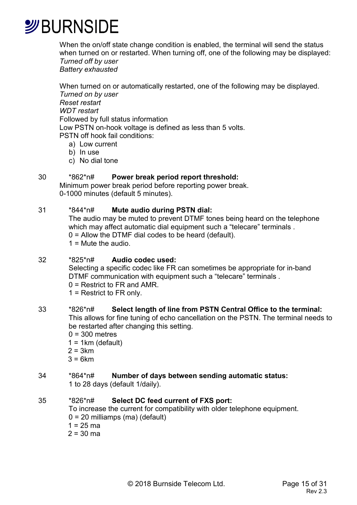

When the on/off state change condition is enabled, the terminal will send the status when turned on or restarted. When turning off, one of the following may be displayed: *Turned off by user* 

*Battery exhausted* 

When turned on or automatically restarted, one of the following may be displayed. *Turned on by user Reset restart WDT restart*  Followed by full status information Low PSTN on-hook voltage is defined as less than 5 volts. PSTN off hook fail conditions: a) Low current

- b) In use
- c) No dial tone

#### 30 \*862\*n# **Power break period report threshold:**

 Minimum power break period before reporting power break. 0-1000 minutes (default 5 minutes).

#### 31 \*844\*n# **Mute audio during PSTN dial:**

 The audio may be muted to prevent DTMF tones being heard on the telephone which may affect automatic dial equipment such a "telecare" terminals . 0 = Allow the DTMF dial codes to be heard (default).  $1 =$  Mute the audio.

#### 32 \*825\*n# **Audio codec used:**

 Selecting a specific codec like FR can sometimes be appropriate for in-band DTMF communication with equipment such a "telecare" terminals .

0 = Restrict to FR and AMR.

1 = Restrict to FR only.

#### 33 \*826\*n# **Select length of line from PSTN Central Office to the terminal:**

This allows for fine tuning of echo cancellation on the PSTN. The terminal needs to be restarted after changing this setting.

- $0 = 300$  metres
- $1 = 1$ km (default)
- $2 = 3km$
- $3 = 6km$

### 34 \*864\*n# **Number of days between sending automatic status:**

1 to 28 days (default 1/daily).

#### 35 \*826\*n# **Select DC feed current of FXS port:**

 To increase the current for compatibility with older telephone equipment. 0 = 20 milliamps (ma) (default)

 $1 = 25$  ma

 $2 = 30$  ma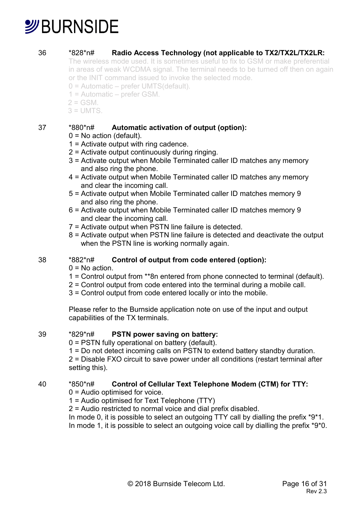#### 36 \*828\*n# **Radio Access Technology (not applicable to TX2/TX2L/TX2LR:**

 The wireless mode used. It is sometimes useful to fix to GSM or make preferential in areas of weak WCDMA signal. The terminal needs to be turned off then on again or the INIT command issued to invoke the selected mode.

- 0 = Automatic prefer UMTS(default).
- 1 = Automatic prefer GSM.
- $2 = GSM$
- $3 = UMTS$

#### 37 \*880\*n# **Automatic activation of output (option):**

- $0 = No$  action (default).
- 1 = Activate output with ring cadence.
- 2 = Activate output continuously during ringing.
- 3 = Activate output when Mobile Terminated caller ID matches any memory and also ring the phone.
- 4 = Activate output when Mobile Terminated caller ID matches any memory and clear the incoming call.
- 5 = Activate output when Mobile Terminated caller ID matches memory 9 and also ring the phone.
- 6 = Activate output when Mobile Terminated caller ID matches memory 9 and clear the incoming call.
- 7 = Activate output when PSTN line failure is detected.
- 8 = Activate output when PSTN line failure is detected and deactivate the output when the PSTN line is working normally again.

#### 38 \*882\*n# **Control of output from code entered (option):**

- $0 = No$  action.
- 1 = Control output from \*\*8n entered from phone connected to terminal (default).
- 2 = Control output from code entered into the terminal during a mobile call.
- 3 = Control output from code entered locally or into the mobile.

Please refer to the Burnside application note on use of the input and output capabilities of the TX terminals.

#### 39 \*829\*n# **PSTN power saving on battery:**

0 = PSTN fully operational on battery (default).

1 = Do not detect incoming calls on PSTN to extend battery standby duration. 2 = Disable FXO circuit to save power under all conditions (restart terminal after setting this).

#### 40 \*850\*n# **Control of Cellular Text Telephone Modem (CTM) for TTY:**

- 0 = Audio optimised for voice.
- 1 = Audio optimised for Text Telephone (TTY)
- 2 = Audio restricted to normal voice and dial prefix disabled.

In mode 0, it is possible to select an outgoing  $TTY$  call by dialling the prefix  $*9*1$ .

In mode 1, it is possible to select an outgoing voice call by dialling the prefix  $*9*0$ .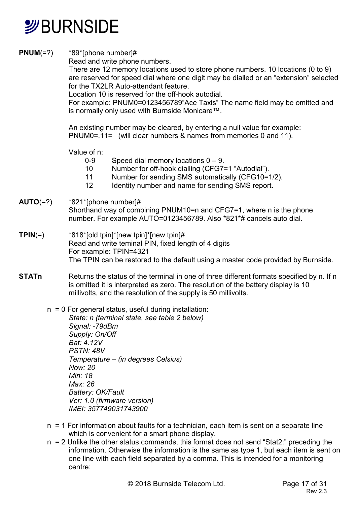

**PNUM(=?)** \*89\*[phone number]#

Read and write phone numbers.

There are 12 memory locations used to store phone numbers. 10 locations (0 to 9) are reserved for speed dial where one digit may be dialled or an "extension" selected for the TX2LR Auto-attendant feature.

Location 10 is reserved for the off-hook autodial.

For example: PNUM0=0123456789"Ace Taxis" The name field may be omitted and is normally only used with Burnside Monicare™.

 An existing number may be cleared, by entering a null value for example: PNUM0=,11= (will clear numbers & names from memories 0 and 11).

#### Value of n:

- 0-9 Speed dial memory locations 0 9.
- 10 Number for off-hook dialling (CFG7=1 "Autodial").
- 11 Number for sending SMS automatically (CFG10=1/2).
- 12 Identity number and name for sending SMS report.

#### **AUTO**(=?) \*821\*[phone number]#

Shorthand way of combining PNUM10=n and CFG7=1, where n is the phone number. For example AUTO=0123456789. Also \*821\*# cancels auto dial.

- **TPIN**(=) \*818\*[old tpin]\*[new tpin]\*[new tpin]# Read and write teminal PIN, fixed length of 4 digits For example: TPIN=4321 The TPIN can be restored to the default using a master code provided by Burnside.
- **STATn** Returns the status of the terminal in one of three different formats specified by n. If n is omitted it is interpreted as zero. The resolution of the battery display is 10 millivolts, and the resolution of the supply is 50 millivolts.
	- $n = 0$  For general status, useful during installation:
		- *State: n (terminal state, see table 2 below) Signal: -79dBm Supply: On/Off Bat: 4.12V PSTN: 48V Temperature – (in degrees Celsius) Now: 20 Min: 18 Max: 26 Battery: OK/Fault Ver: 1.0 (firmware version) IMEI: 357749031743900*
	- n = 1 For information about faults for a technician, each item is sent on a separate line which is convenient for a smart phone display.
	- n = 2 Unlike the other status commands, this format does not send "Stat2:" preceding the information. Otherwise the information is the same as type 1, but each item is sent on one line with each field separated by a comma. This is intended for a monitoring centre: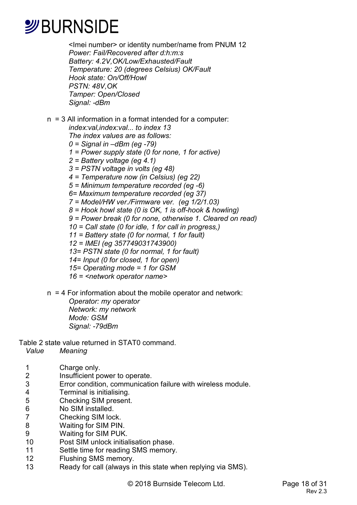<Imei number> or identity number/name from PNUM 12 *Power: Fail/Recovered after d:h:m:s Battery: 4.2V,OK/Low/Exhausted/Fault Temperature: 20 (degrees Celsius) OK/Fault Hook state: On/Off/Howl PSTN: 48V,OK Tamper: Open/Closed Signal: -dBm* 

n = 3 All information in a format intended for a computer: *index:val,index:val... to index 13 The index values are as follows:* 

- *0 = Signal in –dBm (eg -79)*
- *1 = Power supply state (0 for none, 1 for active)*
- *2 = Battery voltage (eg 4.1)*
- *3 = PSTN voltage in volts (eg 48)*
- *4 = Temperature now (in Celsius) (eg 22)*
- *5 = Minimum temperature recorded (eg -6)*
- *6= Maximum temperature recorded (eg 37)*
- *7 = Model/HW ver./Firmware ver. (eg 1/2/1.03)*
- *8 = Hook howl state (0 is OK, 1 is off-hook & howling)*
- *9 = Power break (0 for none, otherwise 1. Cleared on read)*
- *10 = Call state (0 for idle, 1 for call in progress,)*
- *11 = Battery state (0 for normal, 1 for fault)*
- *12 = IMEI (eg 357749031743900)*
- *13= PSTN state (0 for normal, 1 for fault)*
- *14= Input (0 for closed, 1 for open)*
- *15= Operating mode = 1 for GSM*
- *16 = <network operator name>*
- n = 4 For information about the mobile operator and network:

*Operator: my operator Network: my network Mode: GSM Signal: -79dBm* 

Table 2 state value returned in STAT0 command.

*Value Meaning* 

- 1 Charge only.
- 2 Insufficient power to operate.
- 3 Error condition, communication failure with wireless module.
- 4 Terminal is initialising.<br>5 Checking SIM present
- 5 Checking SIM present.<br>6 No SIM installed.
- 6 No SIM installed.<br>7 Checking SIM loc
- Checking SIM lock.
- 8 Waiting for SIM PIN.
- 9 Waiting for SIM PUK.
- 10 Post SIM unlock initialisation phase.
- 11 Settle time for reading SMS memory.
- 12 Flushing SMS memory.
- 13 Ready for call (always in this state when replying via SMS).

© 2018 Burnside Telecom Ltd. Page 18 of 31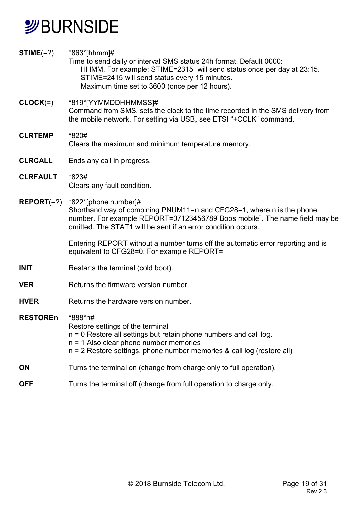## *S*BURNSIDE

| $STIME(=?)$     | *863*[hhmm]#<br>Time to send daily or interval SMS status 24h format. Default 0000:<br>HHMM. For example: STIME=2315 will send status once per day at 23:15.<br>STIME=2415 will send status every 15 minutes.<br>Maximum time set to 3600 (once per 12 hours). |
|-----------------|----------------------------------------------------------------------------------------------------------------------------------------------------------------------------------------------------------------------------------------------------------------|
| $CLOCK(=)$      | *819*[YYMMDDHHMMSS]#<br>Command from SMS, sets the clock to the time recorded in the SMS delivery from<br>the mobile network. For setting via USB, see ETSI "+CCLK" command.                                                                                   |
| <b>CLRTEMP</b>  | *820#<br>Clears the maximum and minimum temperature memory.                                                                                                                                                                                                    |
| <b>CLRCALL</b>  | Ends any call in progress.                                                                                                                                                                                                                                     |
| <b>CLRFAULT</b> | *823#<br>Clears any fault condition.                                                                                                                                                                                                                           |
| $REPORT(=?)$    | *822*[phone number]#<br>Shorthand way of combining PNUM11=n and CFG28=1, where n is the phone<br>number. For example REPORT=07123456789"Bobs mobile". The name field may be<br>omitted. The STAT1 will be sent if an error condition occurs.                   |
|                 | Entering REPORT without a number turns off the automatic error reporting and is<br>equivalent to CFG28=0. For example REPORT=                                                                                                                                  |
| <b>INIT</b>     | Restarts the terminal (cold boot).                                                                                                                                                                                                                             |
| <b>VER</b>      | Returns the firmware version number.                                                                                                                                                                                                                           |
| <b>HVER</b>     | Returns the hardware version number.                                                                                                                                                                                                                           |
| <b>RESTOREn</b> | *888*n#<br>Restore settings of the terminal<br>n = 0 Restore all settings but retain phone numbers and call log.<br>$n = 1$ Also clear phone number memories<br>$n = 2$ Restore settings, phone number memories & call log (restore all)                       |
| <b>ON</b>       | Turns the terminal on (change from charge only to full operation).                                                                                                                                                                                             |
| <b>OFF</b>      | Turns the terminal off (change from full operation to charge only.                                                                                                                                                                                             |
|                 |                                                                                                                                                                                                                                                                |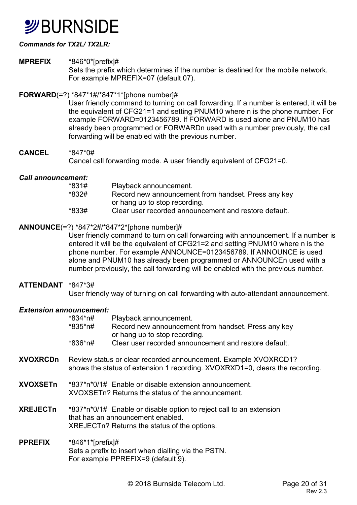## **SURNSIDE**

#### *Commands for TX2L/ TX2LR:*

#### **MPREFIX** \*846\*0\*[prefix]#

Sets the prefix which determines if the number is destined for the mobile network. For example MPREFIX=07 (default 07).

#### **FORWARD**(=?) \*847\*1#/\*847\*1\*[phone number]#

User friendly command to turning on call forwarding. If a number is entered, it will be the equivalent of CFG21=1 and setting PNUM10 where n is the phone number. For example FORWARD=0123456789. If FORWARD is used alone and PNUM10 has already been programmed or FORWARDn used with a number previously, the call forwarding will be enabled with the previous number.

#### **CANCEL** \*847\*0# Cancel call forwarding mode. A user friendly equivalent of CFG21=0.

#### *Call announcement:*

| *831#   | Playback announcement.                                |
|---------|-------------------------------------------------------|
| *832#   | Record new announcement from handset. Press any key   |
|         | or hang up to stop recording.                         |
| $*833#$ | Clear user recorded announcement and restore default. |

#### **ANNOUNCE**(=?) \*847\*2#/\*847\*2\*[phone number]#

User friendly command to turn on call forwarding with announcement. If a number is entered it will be the equivalent of CFG21=2 and setting PNUM10 where n is the phone number. For example ANNOUNCE=0123456789. If ANNOUNCE is used alone and PNUM10 has already been programmed or ANNOUNCEn used with a number previously, the call forwarding will be enabled with the previous number.

#### **ATTENDANT** \*847\*3#

User friendly way of turning on call forwarding with auto-attendant announcement.

#### *Extension announcement:*

|                 | *834*n#<br>*835*n#  | Playback announcement.<br>Record new announcement from handset. Press any key<br>or hang up to stop recording.                                           |
|-----------------|---------------------|----------------------------------------------------------------------------------------------------------------------------------------------------------|
|                 | *836*n#             | Clear user recorded announcement and restore default.                                                                                                    |
| <b>XVOXRCDn</b> |                     | Review status or clear recorded announcement. Example XVOXRCD1?<br>shows the status of extension 1 recording. XVOXRXD1=0, clears the recording.          |
| XVOXSETn        |                     | *837*n*0/1# Enable or disable extension announcement.<br>XVOXSETn? Returns the status of the announcement.                                               |
| <b>XREJECTn</b> |                     | *837*n*0/1# Enable or disable option to reject call to an extension<br>that has an announcement enabled.<br>XREJECTn? Returns the status of the options. |
| <b>PPREFIX</b>  | $*846*1*$ [prefix]# | Sets a prefix to insert when dialling via the PSTN.<br>For example PPREFIX=9 (default 9).                                                                |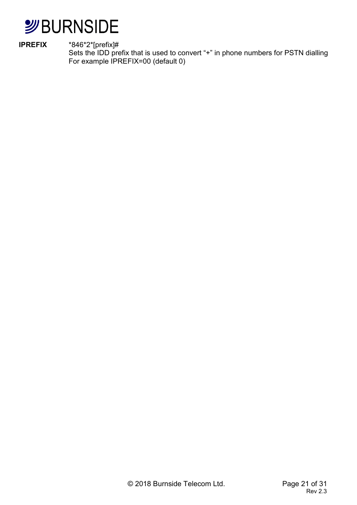

**IPREFIX** \*846\*2\*[prefix]#

Sets the IDD prefix that is used to convert "+" in phone numbers for PSTN dialling For example IPREFIX=00 (default 0)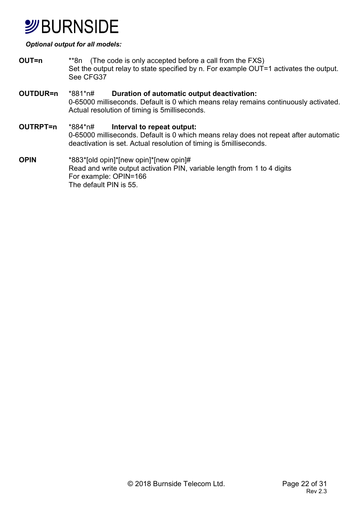## **SURNSIDE**

#### *Optional output for all models:*

- **OUT=n** \*\*8n (The code is only accepted before a call from the FXS) Set the output relay to state specified by n. For example OUT=1 activates the output. See CFG37
- **OUTDUR=n** \*881\*n# **Duration of automatic output deactivation:**  0-65000 milliseconds. Default is 0 which means relay remains continuously activated. Actual resolution of timing is 5milliseconds.
- **OUTRPT=n** \*884\*n# **Interval to repeat output:**  0-65000 milliseconds. Default is 0 which means relay does not repeat after automatic deactivation is set. Actual resolution of timing is 5milliseconds.
- **OPIN** \*883\*[old opin]\*[new opin]\*[new opin]# Read and write output activation PIN, variable length from 1 to 4 digits For example: OPIN=166 The default PIN is 55.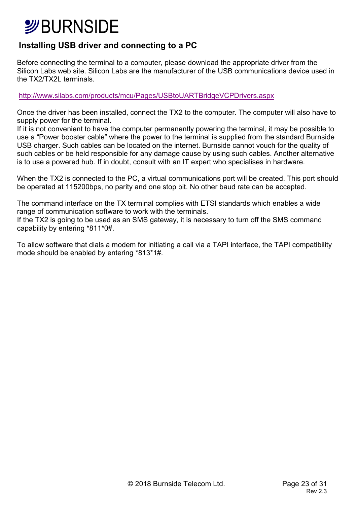### **Installing USB driver and connecting to a PC**

Before connecting the terminal to a computer, please download the appropriate driver from the Silicon Labs web site. Silicon Labs are the manufacturer of the USB communications device used in the TX2/TX2L terminals.

http://www.silabs.com/products/mcu/Pages/USBtoUARTBridgeVCPDrivers.aspx

Once the driver has been installed, connect the TX2 to the computer. The computer will also have to supply power for the terminal.

If it is not convenient to have the computer permanently powering the terminal, it may be possible to use a "Power booster cable" where the power to the terminal is supplied from the standard Burnside USB charger. Such cables can be located on the internet. Burnside cannot vouch for the quality of such cables or be held responsible for any damage cause by using such cables. Another alternative is to use a powered hub. If in doubt, consult with an IT expert who specialises in hardware.

When the TX2 is connected to the PC, a virtual communications port will be created. This port should be operated at 115200bps, no parity and one stop bit. No other baud rate can be accepted.

The command interface on the TX terminal complies with ETSI standards which enables a wide range of communication software to work with the terminals. If the TX2 is going to be used as an SMS gateway, it is necessary to turn off the SMS command capability by entering \*811\*0#.

To allow software that dials a modem for initiating a call via a TAPI interface, the TAPI compatibility mode should be enabled by entering \*813\*1#.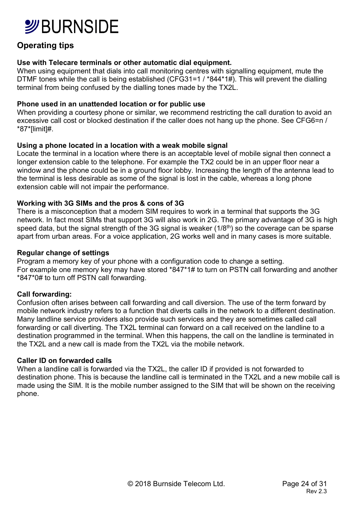### **Operating tips**

#### **Use with Telecare terminals or other automatic dial equipment.**

When using equipment that dials into call monitoring centres with signalling equipment, mute the DTMF tones while the call is being established (CFG31=1 / \*844\*1#). This will prevent the dialling terminal from being confused by the dialling tones made by the TX2L.

#### **Phone used in an unattended location or for public use**

When providing a courtesy phone or similar, we recommend restricting the call duration to avoid an excessive call cost or blocked destination if the caller does not hang up the phone. See CFG6=n / \*87\*[limit]#.

#### **Using a phone located in a location with a weak mobile signal**

Locate the terminal in a location where there is an acceptable level of mobile signal then connect a longer extension cable to the telephone. For example the TX2 could be in an upper floor near a window and the phone could be in a ground floor lobby. Increasing the length of the antenna lead to the terminal is less desirable as some of the signal is lost in the cable, whereas a long phone extension cable will not impair the performance.

#### **Working with 3G SIMs and the pros & cons of 3G**

There is a misconception that a modern SIM requires to work in a terminal that supports the 3G network. In fact most SIMs that support 3G will also work in 2G. The primary advantage of 3G is high speed data, but the signal strength of the 3G signal is weaker  $(1/8<sup>th</sup>)$  so the coverage can be sparse apart from urban areas. For a voice application, 2G works well and in many cases is more suitable.

#### **Regular change of settings**

Program a memory key of your phone with a configuration code to change a setting. For example one memory key may have stored \*847\*1# to turn on PSTN call forwarding and another \*847\*0# to turn off PSTN call forwarding.

#### **Call forwarding:**

Confusion often arises between call forwarding and call diversion. The use of the term forward by mobile network industry refers to a function that diverts calls in the network to a different destination. Many landline service providers also provide such services and they are sometimes called call forwarding or call diverting. The TX2L terminal can forward on a call received on the landline to a destination programmed in the terminal. When this happens, the call on the landline is terminated in the TX2L and a new call is made from the TX2L via the mobile network.

#### **Caller ID on forwarded calls**

When a landline call is forwarded via the TX2L, the caller ID if provided is not forwarded to destination phone. This is because the landline call is terminated in the TX2L and a new mobile call is made using the SIM. It is the mobile number assigned to the SIM that will be shown on the receiving phone.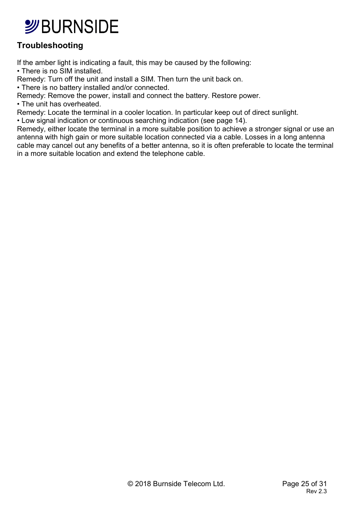### **Troubleshooting**

If the amber light is indicating a fault, this may be caused by the following: • There is no SIM installed.

Remedy: Turn off the unit and install a SIM. Then turn the unit back on.

• There is no battery installed and/or connected.

Remedy: Remove the power, install and connect the battery. Restore power.

• The unit has overheated.

Remedy: Locate the terminal in a cooler location. In particular keep out of direct sunlight.

• Low signal indication or continuous searching indication (see page 14).

Remedy, either locate the terminal in a more suitable position to achieve a stronger signal or use an antenna with high gain or more suitable location connected via a cable. Losses in a long antenna cable may cancel out any benefits of a better antenna, so it is often preferable to locate the terminal in a more suitable location and extend the telephone cable.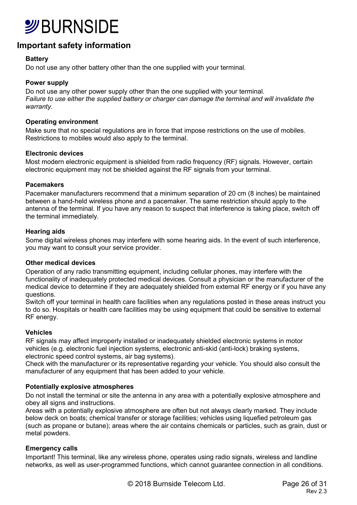

### **Important safety information**

#### **Battery**

Do not use any other battery other than the one supplied with your terminal.

#### **Power supply**

Do not use any other power supply other than the one supplied with your terminal. *Failure to use either the supplied battery or charger can damage the terminal and will invalidate the warranty.* 

#### **Operating environment**

Make sure that no special regulations are in force that impose restrictions on the use of mobiles. Restrictions to mobiles would also apply to the terminal.

#### **Electronic devices**

Most modern electronic equipment is shielded from radio frequency (RF) signals. However, certain electronic equipment may not be shielded against the RF signals from your terminal.

#### **Pacemakers**

Pacemaker manufacturers recommend that a minimum separation of 20 cm (8 inches) be maintained between a hand-held wireless phone and a pacemaker. The same restriction should apply to the antenna of the terminal. If you have any reason to suspect that interference is taking place, switch off the terminal immediately.

#### **Hearing aids**

Some digital wireless phones may interfere with some hearing aids. In the event of such interference, you may want to consult your service provider.

#### **Other medical devices**

Operation of any radio transmitting equipment, including cellular phones, may interfere with the functionality of inadequately protected medical devices. Consult a physician or the manufacturer of the medical device to determine if they are adequately shielded from external RF energy or if you have any questions.

Switch off your terminal in health care facilities when any regulations posted in these areas instruct you to do so. Hospitals or health care facilities may be using equipment that could be sensitive to external RF energy.

#### **Vehicles**

RF signals may affect improperly installed or inadequately shielded electronic systems in motor vehicles (e.g. electronic fuel injection systems, electronic anti-skid (anti-lock) braking systems, electronic speed control systems, air bag systems).

Check with the manufacturer or its representative regarding your vehicle. You should also consult the manufacturer of any equipment that has been added to your vehicle.

#### **Potentially explosive atmospheres**

Do not install the terminal or site the antenna in any area with a potentially explosive atmosphere and obey all signs and instructions.

Areas with a potentially explosive atmosphere are often but not always clearly marked. They include below deck on boats; chemical transfer or storage facilities; vehicles using liquefied petroleum gas (such as propane or butane); areas where the air contains chemicals or particles, such as grain, dust or metal powders.

#### **Emergency calls**

Important! This terminal, like any wireless phone, operates using radio signals, wireless and landline networks, as well as user-programmed functions, which cannot guarantee connection in all conditions.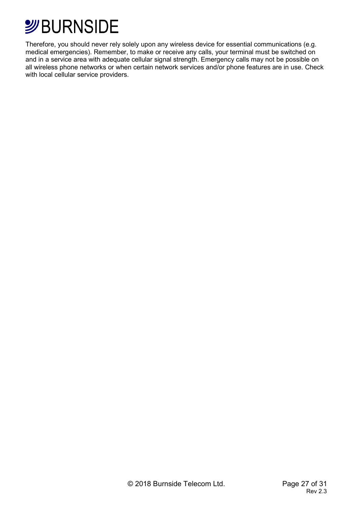

Therefore, you should never rely solely upon any wireless device for essential communications (e.g. medical emergencies). Remember, to make or receive any calls, your terminal must be switched on and in a service area with adequate cellular signal strength. Emergency calls may not be possible on all wireless phone networks or when certain network services and/or phone features are in use. Check with local cellular service providers.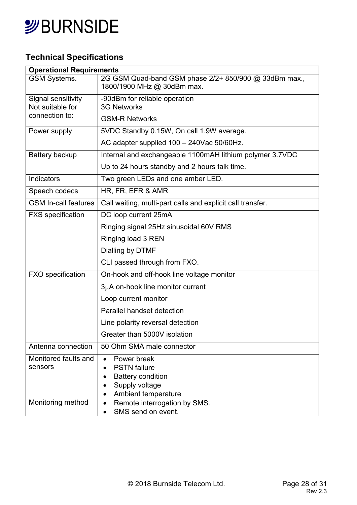

## **Technical Specifications**

| <b>Operational Requirements</b> |                                                                                     |  |
|---------------------------------|-------------------------------------------------------------------------------------|--|
| <b>GSM Systems.</b>             | 2G GSM Quad-band GSM phase 2/2+ 850/900 @ 33dBm max.,<br>1800/1900 MHz @ 30dBm max. |  |
| Signal sensitivity              | -90dBm for reliable operation                                                       |  |
| Not suitable for                | <b>3G Networks</b>                                                                  |  |
| connection to:                  | <b>GSM-R Networks</b>                                                               |  |
| Power supply                    | 5VDC Standby 0.15W, On call 1.9W average.                                           |  |
|                                 | AC adapter supplied 100 - 240Vac 50/60Hz.                                           |  |
| Battery backup                  | Internal and exchangeable 1100mAH lithium polymer 3.7VDC                            |  |
|                                 | Up to 24 hours standby and 2 hours talk time.                                       |  |
| Indicators                      | Two green LEDs and one amber LED.                                                   |  |
| Speech codecs                   | HR, FR, EFR & AMR                                                                   |  |
| <b>GSM In-call features</b>     | Call waiting, multi-part calls and explicit call transfer.                          |  |
| <b>FXS</b> specification        | DC loop current 25mA                                                                |  |
|                                 | Ringing signal 25Hz sinusoidal 60V RMS                                              |  |
|                                 | Ringing load 3 REN                                                                  |  |
|                                 | Dialling by DTMF                                                                    |  |
|                                 | CLI passed through from FXO.                                                        |  |
| <b>FXO</b> specification        | On-hook and off-hook line voltage monitor                                           |  |
|                                 | 3µA on-hook line monitor current                                                    |  |
|                                 | Loop current monitor                                                                |  |
|                                 | Parallel handset detection                                                          |  |
|                                 | Line polarity reversal detection                                                    |  |
|                                 | Greater than 5000V isolation                                                        |  |
| Antenna connection              | 50 Ohm SMA male connector                                                           |  |
| Monitored faults and            | Power break<br>$\bullet$                                                            |  |
| sensors                         | <b>PSTN</b> failure<br>$\bullet$                                                    |  |
|                                 | <b>Battery condition</b><br>$\bullet$                                               |  |
|                                 | Supply voltage<br>$\bullet$<br>Ambient temperature<br>$\bullet$                     |  |
| Monitoring method               | Remote interrogation by SMS.<br>$\bullet$                                           |  |
|                                 | SMS send on event.                                                                  |  |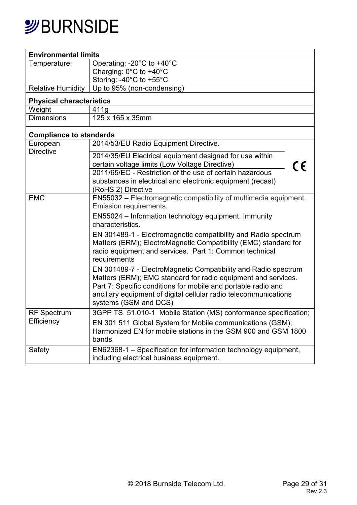## *S*BURNSIDE

| <b>Environmental limits</b>     |                                                                  |  |  |  |
|---------------------------------|------------------------------------------------------------------|--|--|--|
| Temperature:                    | Operating: -20°C to +40°C                                        |  |  |  |
|                                 | Charging: 0°C to +40°C                                           |  |  |  |
|                                 | Storing: -40°C to +55°C                                          |  |  |  |
| <b>Relative Humidity</b>        | Up to 95% (non-condensing)                                       |  |  |  |
| <b>Physical characteristics</b> |                                                                  |  |  |  |
| Weight                          | 411g                                                             |  |  |  |
| <b>Dimensions</b>               | 125 x 165 x 35mm                                                 |  |  |  |
| <b>Compliance to standards</b>  |                                                                  |  |  |  |
| European                        | 2014/53/EU Radio Equipment Directive.                            |  |  |  |
| <b>Directive</b>                | 2014/35/EU Electrical equipment designed for use within          |  |  |  |
|                                 | certain voltage limits (Low Voltage Directive)<br>CE             |  |  |  |
|                                 | 2011/65/EC - Restriction of the use of certain hazardous         |  |  |  |
|                                 | substances in electrical and electronic equipment (recast)       |  |  |  |
|                                 | (RoHS 2) Directive                                               |  |  |  |
| <b>EMC</b>                      | EN55032 - Electromagnetic compatibility of multimedia equipment. |  |  |  |
|                                 | Emission requirements.                                           |  |  |  |
|                                 | EN55024 - Information technology equipment. Immunity             |  |  |  |
|                                 | characteristics.                                                 |  |  |  |
|                                 | EN 301489-1 - Electromagnetic compatibility and Radio spectrum   |  |  |  |
|                                 | Matters (ERM); ElectroMagnetic Compatibility (EMC) standard for  |  |  |  |
|                                 | radio equipment and services. Part 1: Common technical           |  |  |  |
|                                 | requirements                                                     |  |  |  |
|                                 | EN 301489-7 - ElectroMagnetic Compatibility and Radio spectrum   |  |  |  |
|                                 | Matters (ERM); EMC standard for radio equipment and services.    |  |  |  |
|                                 | Part 7: Specific conditions for mobile and portable radio and    |  |  |  |
|                                 | ancillary equipment of digital cellular radio telecommunications |  |  |  |
|                                 | systems (GSM and DCS)                                            |  |  |  |
| <b>RF</b> Spectrum              | 3GPP TS 51.010-1 Mobile Station (MS) conformance specification;  |  |  |  |
| Efficiency                      | EN 301 511 Global System for Mobile communications (GSM);        |  |  |  |
|                                 | Harmonized EN for mobile stations in the GSM 900 and GSM 1800    |  |  |  |
|                                 | bands                                                            |  |  |  |
| Safety                          | EN62368-1 - Specification for information technology equipment,  |  |  |  |
|                                 | including electrical business equipment.                         |  |  |  |
|                                 |                                                                  |  |  |  |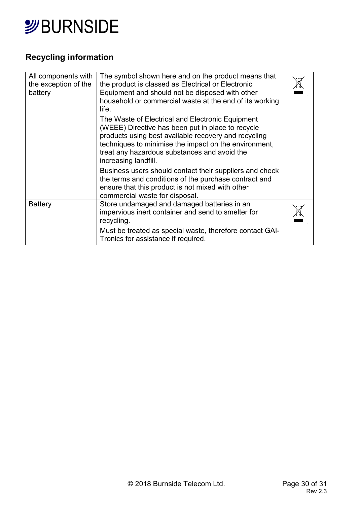

## **Recycling information**

| All components with<br>the exception of the<br>battery | The symbol shown here and on the product means that<br>the product is classed as Electrical or Electronic<br>Equipment and should not be disposed with other<br>household or commercial waste at the end of its working<br>life.                                                               |  |
|--------------------------------------------------------|------------------------------------------------------------------------------------------------------------------------------------------------------------------------------------------------------------------------------------------------------------------------------------------------|--|
|                                                        | The Waste of Electrical and Electronic Equipment<br>(WEEE) Directive has been put in place to recycle<br>products using best available recovery and recycling<br>techniques to minimise the impact on the environment,<br>treat any hazardous substances and avoid the<br>increasing landfill. |  |
|                                                        | Business users should contact their suppliers and check<br>the terms and conditions of the purchase contract and<br>ensure that this product is not mixed with other<br>commercial waste for disposal.                                                                                         |  |
| <b>Battery</b>                                         | Store undamaged and damaged batteries in an<br>impervious inert container and send to smelter for<br>recycling.                                                                                                                                                                                |  |
|                                                        | Must be treated as special waste, therefore contact GAI-<br>Tronics for assistance if required.                                                                                                                                                                                                |  |